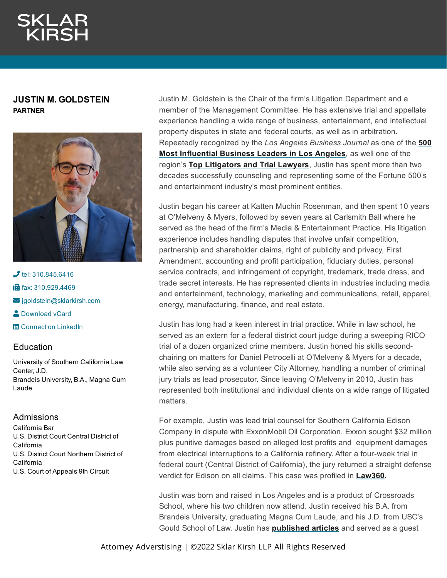# **JUSTIN M. GOLDSTEIN PARTNER**



 $J$  tel: [310.845.6416](tel:310.845.6416) **in** fax: [310.929.4469](fax:310.929.4469)  $\blacktriangleright$  [jgoldstein@sklarkirsh.com](mailto:jgoldstein@sklarkirsh.com) **2** [Download](https://www.sklarkirsh.com/api/vcard?firstName=Justin&middleName=M.&lastName=Goldstein&email=jgoldstein@sklarkirsh.com&position=PARTNER&company=Sklar%20Kirsh%20LLP&phone=310.845.6416&fax=310.929.4469&address1=1880%20Century%20Park%20East,%20Ste%20300&city=Los%20Angeles&state=CA&zip=90067&country=US&image=https%253A%252F%252Fres.cloudinary.com%252Fsklar-kirsh-main%252Fimages%252F%252Ff_auto%252Cq_auto%252Fv1644341182%252FJGoldstein2-2_4230c5b67%252FJGoldstein2-2_4230c5b67.jpg%253F_i%253DAA&) vCard **th** Connect on [LinkedIn](https://www.linkedin.com/in/justin-goldstein-b266352/) Education

University of Southern California Law Center, J.D. Brandeis University, B.A., Magna Cum Laude

# Admissions

California Bar U.S. District Court Central District of California U.S. District Court Northern District of California U.S. Court of Appeals 9th Circuit

Justin M. Goldstein is the Chair of the firm's Litigation Department and a member of the Management Committee. He has extensive trial and appellate experience handling a wide range of business, entertainment, and intellectual property disputes in state and federal courts, as well as in arbitration. Repeatedly recognized by the *[Los Angeles Business Journal](https://res.cloudinary.com/sklar-kirsh-main/images/v1656017853/JGoldstein/JGoldstein.png?_i=AA)* as one of the **500 Most Influential Business Leaders in Los Angeles**, as well one of the region's **Top [Litigators](https://www.businesswire.com/news/home/20190819005154/en/Sklar-Kirsh-Partner-Justin-Goldstein-Named-2019) and Trial Lawyers**, Justin has spent more than two decades successfully counseling and representing some of the Fortune 500's and entertainment industry's most prominent entities.

Justin began his career at Katten Muchin Rosenman, and then spent 10 years at O'Melveny & Myers, followed by seven years at Carlsmith Ball where he served as the head of the firm's Media & Entertainment Practice. His litigation experience includes handling disputes that involve unfair competition, partnership and shareholder claims, right of publicity and privacy, First Amendment, accounting and profit participation, fiduciary duties, personal service contracts, and infringement of copyright, trademark, trade dress, and trade secret interests. He has represented clients in industries including media and entertainment, technology, marketing and communications, retail, apparel, energy, manufacturing, finance, and real estate.

Justin has long had a keen interest in trial practice. While in law school, he served as an extern for a federal district court judge during a sweeping RICO trial of a dozen organized crime members. Justin honed his skills secondchairing on matters for Daniel Petrocelli at O'Melveny & Myers for a decade, while also serving as a volunteer City Attorney, handling a number of criminal jury trials as lead prosecutor. Since leaving O'Melveny in 2010, Justin has represented both institutional and individual clients on a wide range of litigated matters.

For example, Justin was lead trial counsel for Southern California Edison Company in dispute with ExxonMobil Oil Corporation. Exxon sought \$32 million plus punitive damages based on alleged lost profits and equipment damages from electrical interruptions to a California refinery. After a four-week trial in federal court (Central District of California), the jury returned a straight defense verdict for Edison on all claims. This case was profiled in **[Law360.](https://www.sklarkirsh.com/wp-content/uploads/2018/01/Law360-Justin-Goldstein.pdf)**

Justin was born and raised in Los Angeles and is a product of Crossroads School, where his two children now attend. Justin received his B.A. from Brandeis University, graduating Magna Cum Laude, and his J.D. from USC's Gould School of Law. Justin has **[published](https://www.sklarkirsh.com/wp-content/uploads/2018/01/Los-Angeles-Lawyers-JMG-Articles.pdf) articles** and served as a guest

Attorney Adverstising | ©2022 Sklar Kirsh LLP All Rights Reserved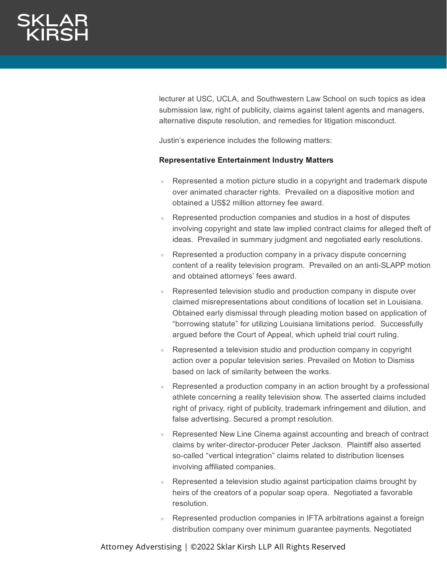lecturer at USC, UCLA, and Southwestern Law School on such topics as idea submission law, right of publicity, claims against talent agents and managers, alternative dispute resolution, and remedies for litigation misconduct.

Justin's experience includes the following matters:

### **Representative Entertainment Industry Matters**

- Represented a motion picture studio in a copyright and trademark dispute over animated character rights. Prevailed on a dispositive motion and obtained a US\$2 million attorney fee award.
- Represented production companies and studios in a host of disputes involving copyright and state law implied contract claims for alleged theft of ideas. Prevailed in summary judgment and negotiated early resolutions.
- Represented a production company in a privacy dispute concerning content of a reality television program. Prevailed on an anti-SLAPP motion and obtained attorneys' fees award.
- Represented television studio and production company in dispute over claimed misrepresentations about conditions of location set in Louisiana. Obtained early dismissal through pleading motion based on application of "borrowing statute" for utilizing Louisiana limitations period. Successfully argued before the Court of Appeal, which upheld trial court ruling.
- Represented a television studio and production company in copyright action over a popular television series. Prevailed on Motion to Dismiss based on lack of similarity between the works.
- Represented a production company in an action brought by a professional athlete concerning a reality television show. The asserted claims included right of privacy, right of publicity, trademark infringement and dilution, and false advertising. Secured a prompt resolution.
- Represented New Line Cinema against accounting and breach of contract claims by writer-director-producer Peter Jackson. Plaintiff also asserted so-called "vertical integration" claims related to distribution licenses involving affiliated companies.
- Represented a television studio against participation claims brought by heirs of the creators of a popular soap opera. Negotiated a favorable resolution.
- Represented production companies in IFTA arbitrations against a foreign distribution company over minimum guarantee payments. Negotiated

Attorney Adverstising | ©2022 Sklar Kirsh LLP All Rights Reserved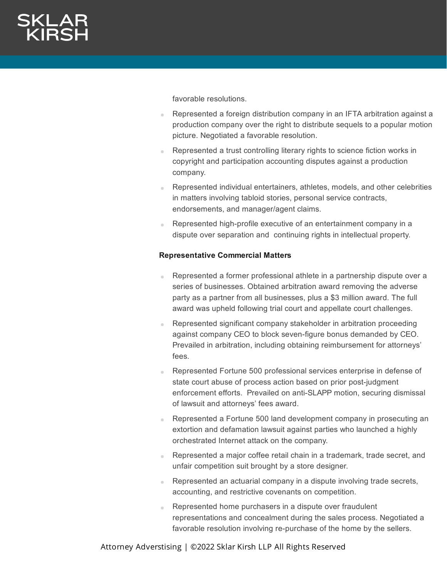favorable resolutions.

- Represented a foreign distribution company in an IFTA arbitration against a production company over the right to distribute sequels to a popular motion picture. Negotiated a favorable resolution.
- Represented a trust controlling literary rights to science fiction works in copyright and participation accounting disputes against a production company.
- Represented individual entertainers, athletes, models, and other celebrities in matters involving tabloid stories, personal service contracts, endorsements, and manager/agent claims.
- Represented high-profile executive of an entertainment company in a dispute over separation and continuing rights in intellectual property.

## **Representative Commercial Matters**

- Represented a former professional athlete in a partnership dispute over a series of businesses. Obtained arbitration award removing the adverse party as a partner from all businesses, plus a \$3 million award. The full award was upheld following trial court and appellate court challenges.
- Represented significant company stakeholder in arbitration proceeding against company CEO to block seven-figure bonus demanded by CEO. Prevailed in arbitration, including obtaining reimbursement for attorneys' fees.
- Represented Fortune 500 professional services enterprise in defense of state court abuse of process action based on prior post-judgment enforcement efforts. Prevailed on anti-SLAPP motion, securing dismissal of lawsuit and attorneys' fees award.
- Represented a Fortune 500 land development company in prosecuting an extortion and defamation lawsuit against parties who launched a highly orchestrated Internet attack on the company.
- Represented a major coffee retail chain in a trademark, trade secret, and unfair competition suit brought by a store designer.
- Represented an actuarial company in a dispute involving trade secrets, accounting, and restrictive covenants on competition.
- Represented home purchasers in a dispute over fraudulent representations and concealment during the sales process. Negotiated a favorable resolution involving re-purchase of the home by the sellers.

Attorney Adverstising | ©2022 Sklar Kirsh LLP All Rights Reserved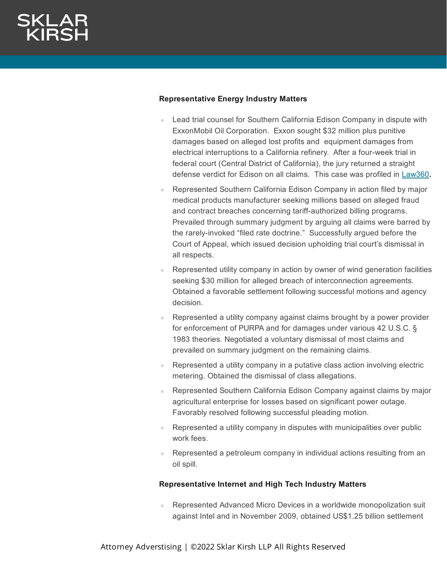# **Representative Energy Industry Matters**

- **Lead trial counsel for Southern California Edison Company in dispute with** ExxonMobil Oil Corporation. Exxon sought \$32 million plus punitive damages based on alleged lost profits and equipment damages from electrical interruptions to a California refinery. After a four-week trial in federal court (Central District of California), the jury returned a straight defense verdict for Edison on all claims. This case was profiled in [Law360](https://www.sklarkirsh.com/wp-content/uploads/2018/01/Law360-Justin-Goldstein.pdf)**.**
- Represented Southern California Edison Company in action filed by major medical products manufacturer seeking millions based on alleged fraud and contract breaches concerning tariff-authorized billing programs. Prevailed through summary judgment by arguing all claims were barred by the rarely-invoked "filed rate doctrine." Successfully argued before the Court of Appeal, which issued decision upholding trial court's dismissal in all respects.
- Represented utility company in action by owner of wind generation facilities seeking \$30 million for alleged breach of interconnection agreements. Obtained a favorable settlement following successful motions and agency decision.
- Represented a utility company against claims brought by a power provider for enforcement of PURPA and for damages under various 42 U.S.C. § 1983 theories. Negotiated a voluntary dismissal of most claims and prevailed on summary judgment on the remaining claims.
- Represented a utility company in a putative class action involving electric metering. Obtained the dismissal of class allegations.
- Represented Southern California Edison Company against claims by major agricultural enterprise for losses based on significant power outage. Favorably resolved following successful pleading motion.
- Represented a utility company in disputes with municipalities over public work fees.
- **Represented a petroleum company in individual actions resulting from an** oil spill.

### **Representative Internet and High Tech Industry Matters**

Represented Advanced Micro Devices in a worldwide monopolization suit against Intel and in November 2009, obtained US\$1.25 billion settlement